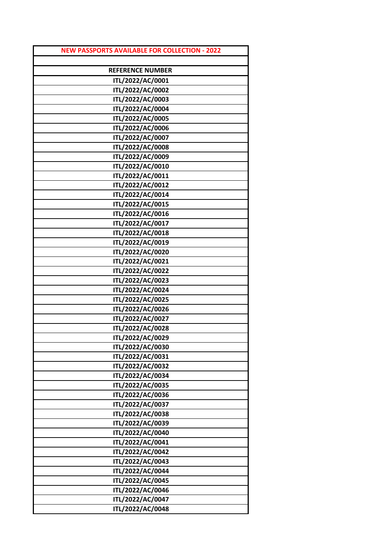| <b>NEW PASSPORTS AVAILABLE FOR COLLECTION - 2022</b> |
|------------------------------------------------------|
|                                                      |
| <b>REFERENCE NUMBER</b>                              |
| ITL/2022/AC/0001                                     |
| ITL/2022/AC/0002                                     |
| ITL/2022/AC/0003                                     |
| ITL/2022/AC/0004                                     |
| ITL/2022/AC/0005                                     |
| ITL/2022/AC/0006                                     |
| ITL/2022/AC/0007                                     |
| ITL/2022/AC/0008                                     |
| ITL/2022/AC/0009                                     |
| ITL/2022/AC/0010                                     |
| ITL/2022/AC/0011                                     |
| ITL/2022/AC/0012                                     |
| ITL/2022/AC/0014                                     |
| ITL/2022/AC/0015                                     |
| ITL/2022/AC/0016                                     |
| ITL/2022/AC/0017                                     |
| ITL/2022/AC/0018                                     |
| ITL/2022/AC/0019                                     |
| ITL/2022/AC/0020                                     |
| ITL/2022/AC/0021                                     |
| ITL/2022/AC/0022                                     |
| ITL/2022/AC/0023                                     |
| ITL/2022/AC/0024                                     |
| ITL/2022/AC/0025                                     |
| ITL/2022/AC/0026                                     |
| ITL/2022/AC/0027                                     |
| ITL/2022/AC/0028                                     |
| ITL/2022/AC/0029                                     |
| ITL/2022/AC/0030                                     |
| ITL/2022/AC/0031                                     |
| ITL/2022/AC/0032                                     |
| ITL/2022/AC/0034                                     |
| ITL/2022/AC/0035                                     |
| ITL/2022/AC/0036                                     |
| ITL/2022/AC/0037                                     |
| ITL/2022/AC/0038                                     |
| ITL/2022/AC/0039                                     |
| ITL/2022/AC/0040                                     |
| ITL/2022/AC/0041                                     |
| ITL/2022/AC/0042                                     |
| ITL/2022/AC/0043                                     |
| ITL/2022/AC/0044                                     |
| ITL/2022/AC/0045                                     |
| ITL/2022/AC/0046                                     |
| ITL/2022/AC/0047                                     |
| ITL/2022/AC/0048                                     |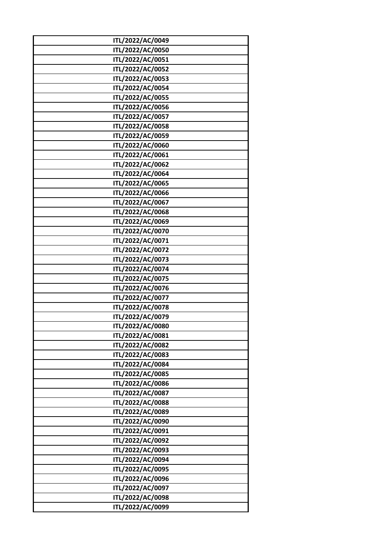| ITL/2022/AC/0049 |
|------------------|
| ITL/2022/AC/0050 |
|                  |
| ITL/2022/AC/0051 |
| ITL/2022/AC/0052 |
| ITL/2022/AC/0053 |
| ITL/2022/AC/0054 |
| ITL/2022/AC/0055 |
| ITL/2022/AC/0056 |
| ITL/2022/AC/0057 |
| ITL/2022/AC/0058 |
| ITL/2022/AC/0059 |
| ITL/2022/AC/0060 |
| ITL/2022/AC/0061 |
| ITL/2022/AC/0062 |
| ITL/2022/AC/0064 |
| ITL/2022/AC/0065 |
| ITL/2022/AC/0066 |
| ITL/2022/AC/0067 |
| ITL/2022/AC/0068 |
| ITL/2022/AC/0069 |
| ITL/2022/AC/0070 |
| ITL/2022/AC/0071 |
| ITL/2022/AC/0072 |
| ITL/2022/AC/0073 |
| ITL/2022/AC/0074 |
| ITL/2022/AC/0075 |
| ITL/2022/AC/0076 |
| ITL/2022/AC/0077 |
| ITL/2022/AC/0078 |
| ITL/2022/AC/0079 |
|                  |
| ITL/2022/AC/0080 |
| ITL/2022/AC/0081 |
| ITL/2022/AC/0082 |
| ITL/2022/AC/0083 |
| ITL/2022/AC/0084 |
| ITL/2022/AC/0085 |
| ITL/2022/AC/0086 |
| ITL/2022/AC/0087 |
| ITL/2022/AC/0088 |
| ITL/2022/AC/0089 |
| ITL/2022/AC/0090 |
| ITL/2022/AC/0091 |
| ITL/2022/AC/0092 |
| ITL/2022/AC/0093 |
| ITL/2022/AC/0094 |
| ITL/2022/AC/0095 |
| ITL/2022/AC/0096 |
| ITL/2022/AC/0097 |
| ITL/2022/AC/0098 |
| ITL/2022/AC/0099 |
|                  |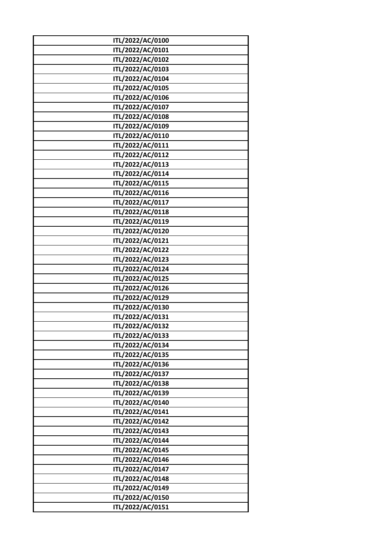| ITL/2022/AC/0100 |  |
|------------------|--|
| ITL/2022/AC/0101 |  |
| ITL/2022/AC/0102 |  |
| ITL/2022/AC/0103 |  |
| ITL/2022/AC/0104 |  |
| ITL/2022/AC/0105 |  |
|                  |  |
| ITL/2022/AC/0106 |  |
| ITL/2022/AC/0107 |  |
| ITL/2022/AC/0108 |  |
| ITL/2022/AC/0109 |  |
| ITL/2022/AC/0110 |  |
| ITL/2022/AC/0111 |  |
| ITL/2022/AC/0112 |  |
| ITL/2022/AC/0113 |  |
| ITL/2022/AC/0114 |  |
| ITL/2022/AC/0115 |  |
| ITL/2022/AC/0116 |  |
| ITL/2022/AC/0117 |  |
| ITL/2022/AC/0118 |  |
| ITL/2022/AC/0119 |  |
| ITL/2022/AC/0120 |  |
| ITL/2022/AC/0121 |  |
| ITL/2022/AC/0122 |  |
| ITL/2022/AC/0123 |  |
| ITL/2022/AC/0124 |  |
| ITL/2022/AC/0125 |  |
| ITL/2022/AC/0126 |  |
| ITL/2022/AC/0129 |  |
| ITL/2022/AC/0130 |  |
| ITL/2022/AC/0131 |  |
| ITL/2022/AC/0132 |  |
| ITL/2022/AC/0133 |  |
| ITL/2022/AC/0134 |  |
|                  |  |
| ITL/2022/AC/0135 |  |
| ITL/2022/AC/0136 |  |
| ITL/2022/AC/0137 |  |
| ITL/2022/AC/0138 |  |
| ITL/2022/AC/0139 |  |
| ITL/2022/AC/0140 |  |
| ITL/2022/AC/0141 |  |
| ITL/2022/AC/0142 |  |
| ITL/2022/AC/0143 |  |
| ITL/2022/AC/0144 |  |
| ITL/2022/AC/0145 |  |
| ITL/2022/AC/0146 |  |
| ITL/2022/AC/0147 |  |
| ITL/2022/AC/0148 |  |
| ITL/2022/AC/0149 |  |
| ITL/2022/AC/0150 |  |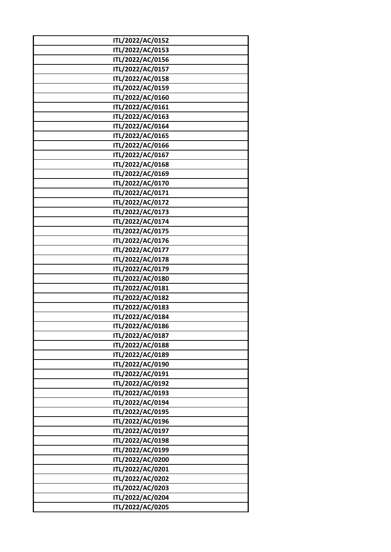| ITL/2022/AC/0152                     |
|--------------------------------------|
|                                      |
| ITL/2022/AC/0153                     |
| ITL/2022/AC/0156                     |
| ITL/2022/AC/0157                     |
| ITL/2022/AC/0158                     |
| ITL/2022/AC/0159                     |
| ITL/2022/AC/0160                     |
| ITL/2022/AC/0161                     |
| ITL/2022/AC/0163                     |
| ITL/2022/AC/0164                     |
| ITL/2022/AC/0165                     |
| ITL/2022/AC/0166                     |
| ITL/2022/AC/0167                     |
| ITL/2022/AC/0168                     |
| ITL/2022/AC/0169                     |
| ITL/2022/AC/0170                     |
| ITL/2022/AC/0171                     |
| ITL/2022/AC/0172                     |
| ITL/2022/AC/0173                     |
| ITL/2022/AC/0174                     |
| ITL/2022/AC/0175                     |
|                                      |
| ITL/2022/AC/0176                     |
| ITL/2022/AC/0177                     |
| ITL/2022/AC/0178                     |
| ITL/2022/AC/0179                     |
| ITL/2022/AC/0180                     |
| ITL/2022/AC/0181                     |
| ITL/2022/AC/0182                     |
| ITL/2022/AC/0183                     |
| ITL/2022/AC/0184                     |
| ITL/2022/AC/0186                     |
| ITL/2022/AC/0187                     |
| ITL/2022/AC/0188                     |
| ITL/2022/AC/0189                     |
| ITL/2022/AC/0190                     |
| ITL/2022/AC/0191                     |
| ITL/2022/AC/0192                     |
| ITL/2022/AC/0193                     |
| ITL/2022/AC/0194                     |
| ITL/2022/AC/0195                     |
| ITL/2022/AC/0196                     |
| ITL/2022/AC/0197                     |
|                                      |
|                                      |
| ITL/2022/AC/0198                     |
| ITL/2022/AC/0199                     |
| ITL/2022/AC/0200                     |
| ITL/2022/AC/0201                     |
| ITL/2022/AC/0202                     |
| ITL/2022/AC/0203                     |
| ITL/2022/AC/0204<br>ITL/2022/AC/0205 |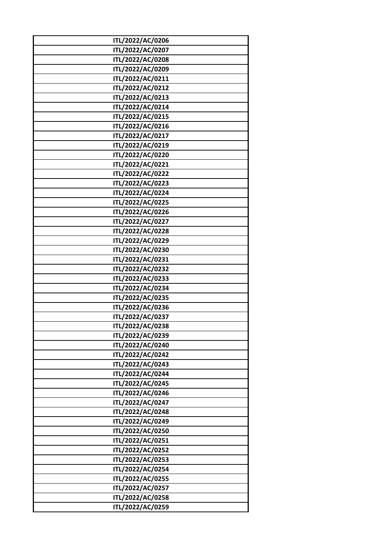| ITL/2022/AC/0206<br>ITL/2022/AC/0207<br>ITL/2022/AC/0208<br>ITL/2022/AC/0209<br>ITL/2022/AC/0211<br>ITL/2022/AC/0212<br>ITL/2022/AC/0213<br>ITL/2022/AC/0214<br>ITL/2022/AC/0215<br>ITL/2022/AC/0216<br>ITL/2022/AC/0217<br>ITL/2022/AC/0219<br>ITL/2022/AC/0220<br>ITL/2022/AC/0221<br>ITL/2022/AC/0222<br>ITL/2022/AC/0223<br>ITL/2022/AC/0224<br>ITL/2022/AC/0225<br>ITL/2022/AC/0226<br>ITL/2022/AC/0227<br>ITL/2022/AC/0228<br>ITL/2022/AC/0229<br>ITL/2022/AC/0230<br>ITL/2022/AC/0231<br>ITL/2022/AC/0232<br>ITL/2022/AC/0233<br>ITL/2022/AC/0234<br>ITL/2022/AC/0235<br>ITL/2022/AC/0236<br>ITL/2022/AC/0237<br>ITL/2022/AC/0238<br>ITL/2022/AC/0239<br>ITL/2022/AC/0240<br>ITL/2022/AC/0242<br>ITL/2022/AC/0243<br>ITL/2022/AC/0244<br>ITL/2022/AC/0245<br>ITL/2022/AC/0246<br>ITL/2022/AC/0247<br>ITL/2022/AC/0248<br>ITL/2022/AC/0249<br>ITL/2022/AC/0250<br>ITL/2022/AC/0251<br>ITL/2022/AC/0252<br>ITL/2022/AC/0253<br>ITL/2022/AC/0254<br>ITL/2022/AC/0255 |                  |
|--------------------------------------------------------------------------------------------------------------------------------------------------------------------------------------------------------------------------------------------------------------------------------------------------------------------------------------------------------------------------------------------------------------------------------------------------------------------------------------------------------------------------------------------------------------------------------------------------------------------------------------------------------------------------------------------------------------------------------------------------------------------------------------------------------------------------------------------------------------------------------------------------------------------------------------------------------------------------|------------------|
|                                                                                                                                                                                                                                                                                                                                                                                                                                                                                                                                                                                                                                                                                                                                                                                                                                                                                                                                                                          |                  |
|                                                                                                                                                                                                                                                                                                                                                                                                                                                                                                                                                                                                                                                                                                                                                                                                                                                                                                                                                                          |                  |
|                                                                                                                                                                                                                                                                                                                                                                                                                                                                                                                                                                                                                                                                                                                                                                                                                                                                                                                                                                          |                  |
|                                                                                                                                                                                                                                                                                                                                                                                                                                                                                                                                                                                                                                                                                                                                                                                                                                                                                                                                                                          |                  |
|                                                                                                                                                                                                                                                                                                                                                                                                                                                                                                                                                                                                                                                                                                                                                                                                                                                                                                                                                                          |                  |
|                                                                                                                                                                                                                                                                                                                                                                                                                                                                                                                                                                                                                                                                                                                                                                                                                                                                                                                                                                          |                  |
|                                                                                                                                                                                                                                                                                                                                                                                                                                                                                                                                                                                                                                                                                                                                                                                                                                                                                                                                                                          |                  |
|                                                                                                                                                                                                                                                                                                                                                                                                                                                                                                                                                                                                                                                                                                                                                                                                                                                                                                                                                                          |                  |
|                                                                                                                                                                                                                                                                                                                                                                                                                                                                                                                                                                                                                                                                                                                                                                                                                                                                                                                                                                          |                  |
|                                                                                                                                                                                                                                                                                                                                                                                                                                                                                                                                                                                                                                                                                                                                                                                                                                                                                                                                                                          |                  |
|                                                                                                                                                                                                                                                                                                                                                                                                                                                                                                                                                                                                                                                                                                                                                                                                                                                                                                                                                                          |                  |
|                                                                                                                                                                                                                                                                                                                                                                                                                                                                                                                                                                                                                                                                                                                                                                                                                                                                                                                                                                          |                  |
|                                                                                                                                                                                                                                                                                                                                                                                                                                                                                                                                                                                                                                                                                                                                                                                                                                                                                                                                                                          |                  |
|                                                                                                                                                                                                                                                                                                                                                                                                                                                                                                                                                                                                                                                                                                                                                                                                                                                                                                                                                                          |                  |
|                                                                                                                                                                                                                                                                                                                                                                                                                                                                                                                                                                                                                                                                                                                                                                                                                                                                                                                                                                          |                  |
|                                                                                                                                                                                                                                                                                                                                                                                                                                                                                                                                                                                                                                                                                                                                                                                                                                                                                                                                                                          |                  |
|                                                                                                                                                                                                                                                                                                                                                                                                                                                                                                                                                                                                                                                                                                                                                                                                                                                                                                                                                                          |                  |
|                                                                                                                                                                                                                                                                                                                                                                                                                                                                                                                                                                                                                                                                                                                                                                                                                                                                                                                                                                          |                  |
|                                                                                                                                                                                                                                                                                                                                                                                                                                                                                                                                                                                                                                                                                                                                                                                                                                                                                                                                                                          |                  |
|                                                                                                                                                                                                                                                                                                                                                                                                                                                                                                                                                                                                                                                                                                                                                                                                                                                                                                                                                                          |                  |
|                                                                                                                                                                                                                                                                                                                                                                                                                                                                                                                                                                                                                                                                                                                                                                                                                                                                                                                                                                          |                  |
|                                                                                                                                                                                                                                                                                                                                                                                                                                                                                                                                                                                                                                                                                                                                                                                                                                                                                                                                                                          |                  |
|                                                                                                                                                                                                                                                                                                                                                                                                                                                                                                                                                                                                                                                                                                                                                                                                                                                                                                                                                                          |                  |
|                                                                                                                                                                                                                                                                                                                                                                                                                                                                                                                                                                                                                                                                                                                                                                                                                                                                                                                                                                          |                  |
|                                                                                                                                                                                                                                                                                                                                                                                                                                                                                                                                                                                                                                                                                                                                                                                                                                                                                                                                                                          |                  |
|                                                                                                                                                                                                                                                                                                                                                                                                                                                                                                                                                                                                                                                                                                                                                                                                                                                                                                                                                                          |                  |
|                                                                                                                                                                                                                                                                                                                                                                                                                                                                                                                                                                                                                                                                                                                                                                                                                                                                                                                                                                          |                  |
|                                                                                                                                                                                                                                                                                                                                                                                                                                                                                                                                                                                                                                                                                                                                                                                                                                                                                                                                                                          |                  |
|                                                                                                                                                                                                                                                                                                                                                                                                                                                                                                                                                                                                                                                                                                                                                                                                                                                                                                                                                                          |                  |
|                                                                                                                                                                                                                                                                                                                                                                                                                                                                                                                                                                                                                                                                                                                                                                                                                                                                                                                                                                          |                  |
|                                                                                                                                                                                                                                                                                                                                                                                                                                                                                                                                                                                                                                                                                                                                                                                                                                                                                                                                                                          |                  |
|                                                                                                                                                                                                                                                                                                                                                                                                                                                                                                                                                                                                                                                                                                                                                                                                                                                                                                                                                                          |                  |
|                                                                                                                                                                                                                                                                                                                                                                                                                                                                                                                                                                                                                                                                                                                                                                                                                                                                                                                                                                          |                  |
|                                                                                                                                                                                                                                                                                                                                                                                                                                                                                                                                                                                                                                                                                                                                                                                                                                                                                                                                                                          |                  |
|                                                                                                                                                                                                                                                                                                                                                                                                                                                                                                                                                                                                                                                                                                                                                                                                                                                                                                                                                                          |                  |
|                                                                                                                                                                                                                                                                                                                                                                                                                                                                                                                                                                                                                                                                                                                                                                                                                                                                                                                                                                          |                  |
|                                                                                                                                                                                                                                                                                                                                                                                                                                                                                                                                                                                                                                                                                                                                                                                                                                                                                                                                                                          |                  |
|                                                                                                                                                                                                                                                                                                                                                                                                                                                                                                                                                                                                                                                                                                                                                                                                                                                                                                                                                                          |                  |
|                                                                                                                                                                                                                                                                                                                                                                                                                                                                                                                                                                                                                                                                                                                                                                                                                                                                                                                                                                          |                  |
|                                                                                                                                                                                                                                                                                                                                                                                                                                                                                                                                                                                                                                                                                                                                                                                                                                                                                                                                                                          |                  |
|                                                                                                                                                                                                                                                                                                                                                                                                                                                                                                                                                                                                                                                                                                                                                                                                                                                                                                                                                                          |                  |
|                                                                                                                                                                                                                                                                                                                                                                                                                                                                                                                                                                                                                                                                                                                                                                                                                                                                                                                                                                          |                  |
|                                                                                                                                                                                                                                                                                                                                                                                                                                                                                                                                                                                                                                                                                                                                                                                                                                                                                                                                                                          |                  |
|                                                                                                                                                                                                                                                                                                                                                                                                                                                                                                                                                                                                                                                                                                                                                                                                                                                                                                                                                                          |                  |
|                                                                                                                                                                                                                                                                                                                                                                                                                                                                                                                                                                                                                                                                                                                                                                                                                                                                                                                                                                          |                  |
|                                                                                                                                                                                                                                                                                                                                                                                                                                                                                                                                                                                                                                                                                                                                                                                                                                                                                                                                                                          |                  |
|                                                                                                                                                                                                                                                                                                                                                                                                                                                                                                                                                                                                                                                                                                                                                                                                                                                                                                                                                                          |                  |
|                                                                                                                                                                                                                                                                                                                                                                                                                                                                                                                                                                                                                                                                                                                                                                                                                                                                                                                                                                          |                  |
| ITL/2022/AC/0258                                                                                                                                                                                                                                                                                                                                                                                                                                                                                                                                                                                                                                                                                                                                                                                                                                                                                                                                                         | ITL/2022/AC/0257 |
|                                                                                                                                                                                                                                                                                                                                                                                                                                                                                                                                                                                                                                                                                                                                                                                                                                                                                                                                                                          |                  |
|                                                                                                                                                                                                                                                                                                                                                                                                                                                                                                                                                                                                                                                                                                                                                                                                                                                                                                                                                                          |                  |
|                                                                                                                                                                                                                                                                                                                                                                                                                                                                                                                                                                                                                                                                                                                                                                                                                                                                                                                                                                          | ITL/2022/AC/0259 |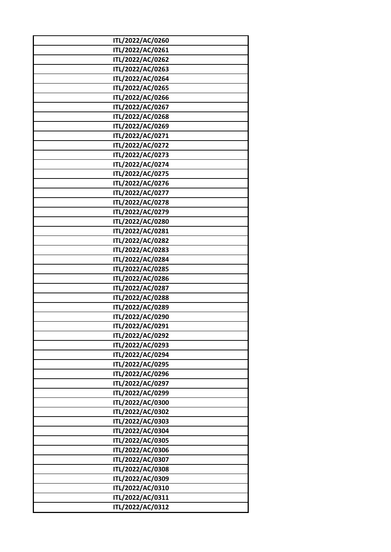| ITL/2022/AC/0260 |
|------------------|
| ITL/2022/AC/0261 |
| ITL/2022/AC/0262 |
| ITL/2022/AC/0263 |
| ITL/2022/AC/0264 |
|                  |
| ITL/2022/AC/0265 |
| ITL/2022/AC/0266 |
| ITL/2022/AC/0267 |
| ITL/2022/AC/0268 |
| ITL/2022/AC/0269 |
| ITL/2022/AC/0271 |
| ITL/2022/AC/0272 |
| ITL/2022/AC/0273 |
| ITL/2022/AC/0274 |
| ITL/2022/AC/0275 |
| ITL/2022/AC/0276 |
| ITL/2022/AC/0277 |
| ITL/2022/AC/0278 |
| ITL/2022/AC/0279 |
| ITL/2022/AC/0280 |
| ITL/2022/AC/0281 |
| ITL/2022/AC/0282 |
| ITL/2022/AC/0283 |
| ITL/2022/AC/0284 |
| ITL/2022/AC/0285 |
| ITL/2022/AC/0286 |
| ITL/2022/AC/0287 |
| ITL/2022/AC/0288 |
| ITL/2022/AC/0289 |
| ITL/2022/AC/0290 |
| ITL/2022/AC/0291 |
| ITL/2022/AC/0292 |
| ITL/2022/AC/0293 |
| ITL/2022/AC/0294 |
| ITL/2022/AC/0295 |
| ITL/2022/AC/0296 |
| ITL/2022/AC/0297 |
| ITL/2022/AC/0299 |
| ITL/2022/AC/0300 |
| ITL/2022/AC/0302 |
| ITL/2022/AC/0303 |
| ITL/2022/AC/0304 |
| ITL/2022/AC/0305 |
| ITL/2022/AC/0306 |
| ITL/2022/AC/0307 |
| ITL/2022/AC/0308 |
| ITL/2022/AC/0309 |
| ITL/2022/AC/0310 |
|                  |
| ITL/2022/AC/0311 |
| ITL/2022/AC/0312 |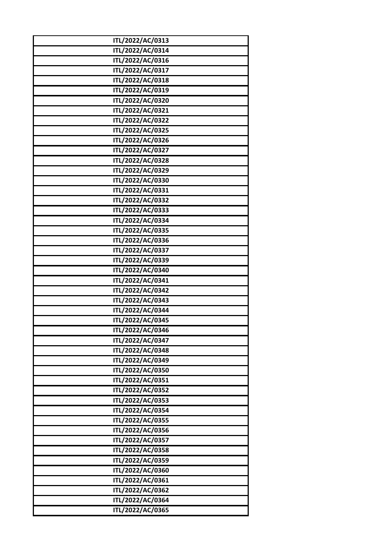| ITL/2022/AC/0313 |
|------------------|
| ITL/2022/AC/0314 |
| ITL/2022/AC/0316 |
| ITL/2022/AC/0317 |
| ITL/2022/AC/0318 |
| ITL/2022/AC/0319 |
| ITL/2022/AC/0320 |
| ITL/2022/AC/0321 |
| ITL/2022/AC/0322 |
| ITL/2022/AC/0325 |
| ITL/2022/AC/0326 |
| ITL/2022/AC/0327 |
| ITL/2022/AC/0328 |
| ITL/2022/AC/0329 |
| ITL/2022/AC/0330 |
| ITL/2022/AC/0331 |
| ITL/2022/AC/0332 |
| ITL/2022/AC/0333 |
| ITL/2022/AC/0334 |
| ITL/2022/AC/0335 |
| ITL/2022/AC/0336 |
| ITL/2022/AC/0337 |
| ITL/2022/AC/0339 |
| ITL/2022/AC/0340 |
| ITL/2022/AC/0341 |
| ITL/2022/AC/0342 |
| ITL/2022/AC/0343 |
| ITL/2022/AC/0344 |
| ITL/2022/AC/0345 |
| ITL/2022/AC/0346 |
| ITL/2022/AC/0347 |
| ITL/2022/AC/0348 |
| ITL/2022/AC/0349 |
| ITL/2022/AC/0350 |
| ITL/2022/AC/0351 |
| ITL/2022/AC/0352 |
| ITL/2022/AC/0353 |
| ITL/2022/AC/0354 |
| ITL/2022/AC/0355 |
| ITL/2022/AC/0356 |
| ITL/2022/AC/0357 |
| ITL/2022/AC/0358 |
| ITL/2022/AC/0359 |
| ITL/2022/AC/0360 |
| ITL/2022/AC/0361 |
| ITL/2022/AC/0362 |
| ITL/2022/AC/0364 |
| ITL/2022/AC/0365 |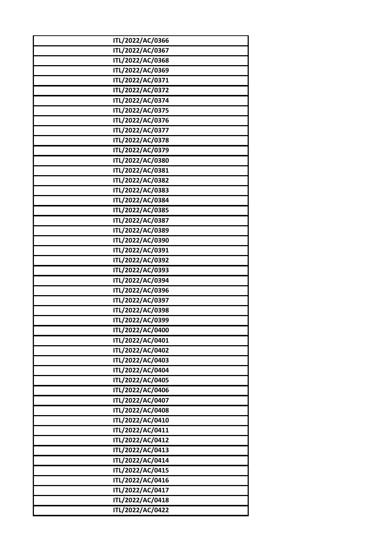| ITL/2022/AC/0366 |  |
|------------------|--|
| ITL/2022/AC/0367 |  |
| ITL/2022/AC/0368 |  |
| ITL/2022/AC/0369 |  |
| ITL/2022/AC/0371 |  |
| ITL/2022/AC/0372 |  |
| ITL/2022/AC/0374 |  |
| ITL/2022/AC/0375 |  |
| ITL/2022/AC/0376 |  |
| ITL/2022/AC/0377 |  |
| ITL/2022/AC/0378 |  |
| ITL/2022/AC/0379 |  |
| ITL/2022/AC/0380 |  |
| ITL/2022/AC/0381 |  |
| ITL/2022/AC/0382 |  |
| ITL/2022/AC/0383 |  |
| ITL/2022/AC/0384 |  |
| ITL/2022/AC/0385 |  |
| ITL/2022/AC/0387 |  |
| ITL/2022/AC/0389 |  |
| ITL/2022/AC/0390 |  |
| ITL/2022/AC/0391 |  |
| ITL/2022/AC/0392 |  |
| ITL/2022/AC/0393 |  |
| ITL/2022/AC/0394 |  |
| ITL/2022/AC/0396 |  |
| ITL/2022/AC/0397 |  |
| ITL/2022/AC/0398 |  |
| ITL/2022/AC/0399 |  |
| ITL/2022/AC/0400 |  |
| ITL/2022/AC/0401 |  |
| ITL/2022/AC/0402 |  |
| ITL/2022/AC/0403 |  |
| ITL/2022/AC/0404 |  |
| ITL/2022/AC/0405 |  |
| ITL/2022/AC/0406 |  |
| ITL/2022/AC/0407 |  |
| ITL/2022/AC/0408 |  |
| ITL/2022/AC/0410 |  |
| ITL/2022/AC/0411 |  |
| ITL/2022/AC/0412 |  |
| ITL/2022/AC/0413 |  |
| ITL/2022/AC/0414 |  |
| ITL/2022/AC/0415 |  |
| ITL/2022/AC/0416 |  |
| ITL/2022/AC/0417 |  |
| ITL/2022/AC/0418 |  |
| ITL/2022/AC/0422 |  |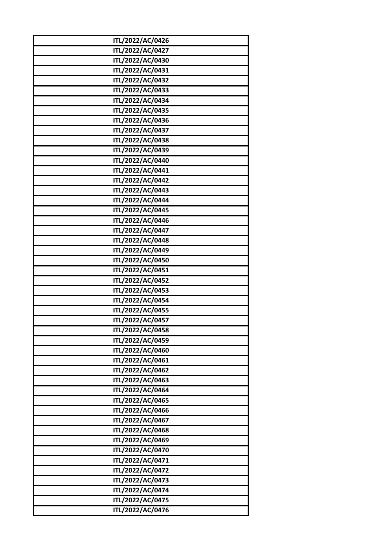| ITL/2022/AC/0426                     |
|--------------------------------------|
| ITL/2022/AC/0427                     |
| ITL/2022/AC/0430                     |
| ITL/2022/AC/0431                     |
| ITL/2022/AC/0432                     |
| ITL/2022/AC/0433                     |
| ITL/2022/AC/0434                     |
| ITL/2022/AC/0435                     |
| ITL/2022/AC/0436                     |
| ITL/2022/AC/0437                     |
| ITL/2022/AC/0438                     |
| ITL/2022/AC/0439                     |
| ITL/2022/AC/0440                     |
| ITL/2022/AC/0441                     |
| ITL/2022/AC/0442                     |
| ITL/2022/AC/0443                     |
| ITL/2022/AC/0444                     |
| ITL/2022/AC/0445                     |
| ITL/2022/AC/0446                     |
| ITL/2022/AC/0447                     |
| ITL/2022/AC/0448                     |
| ITL/2022/AC/0449                     |
| ITL/2022/AC/0450                     |
| ITL/2022/AC/0451                     |
| ITL/2022/AC/0452                     |
| ITL/2022/AC/0453                     |
| ITL/2022/AC/0454                     |
| ITL/2022/AC/0455                     |
| ITL/2022/AC/0457                     |
| ITL/2022/AC/0458                     |
| ITL/2022/AC/0459                     |
| ITL/2022/AC/0460                     |
| ITL/2022/AC/0461                     |
| ITL/2022/AC/0462                     |
| ITL/2022/AC/0463                     |
| ITL/2022/AC/0464                     |
| ITL/2022/AC/0465                     |
| ITL/2022/AC/0466                     |
| ITL/2022/AC/0467<br>ITL/2022/AC/0468 |
| ITL/2022/AC/0469                     |
| ITL/2022/AC/0470                     |
| ITL/2022/AC/0471                     |
| ITL/2022/AC/0472                     |
| ITL/2022/AC/0473                     |
| ITL/2022/AC/0474                     |
| ITL/2022/AC/0475                     |
| ITL/2022/AC/0476                     |
|                                      |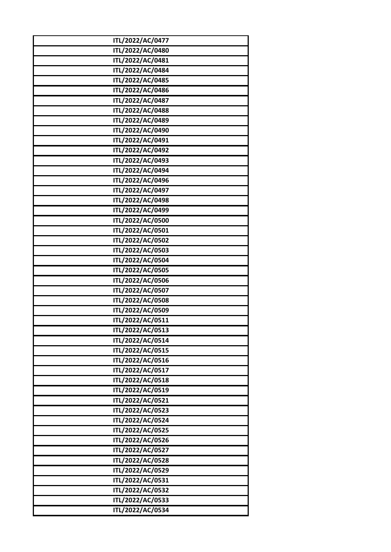| ITL/2022/AC/0477 |
|------------------|
| ITL/2022/AC/0480 |
| ITL/2022/AC/0481 |
| ITL/2022/AC/0484 |
| ITL/2022/AC/0485 |
| ITL/2022/AC/0486 |
| ITL/2022/AC/0487 |
| ITL/2022/AC/0488 |
| ITL/2022/AC/0489 |
| ITL/2022/AC/0490 |
| ITL/2022/AC/0491 |
| ITL/2022/AC/0492 |
| ITL/2022/AC/0493 |
| ITL/2022/AC/0494 |
| ITL/2022/AC/0496 |
| ITL/2022/AC/0497 |
| ITL/2022/AC/0498 |
| ITL/2022/AC/0499 |
| ITL/2022/AC/0500 |
| ITL/2022/AC/0501 |
| ITL/2022/AC/0502 |
| ITL/2022/AC/0503 |
| ITL/2022/AC/0504 |
| ITL/2022/AC/0505 |
| ITL/2022/AC/0506 |
| ITL/2022/AC/0507 |
| ITL/2022/AC/0508 |
| ITL/2022/AC/0509 |
| ITL/2022/AC/0511 |
| ITL/2022/AC/0513 |
| ITL/2022/AC/0514 |
| ITL/2022/AC/0515 |
| ITL/2022/AC/0516 |
| ITL/2022/AC/0517 |
| ITL/2022/AC/0518 |
| ITL/2022/AC/0519 |
| ITL/2022/AC/0521 |
| ITL/2022/AC/0523 |
| ITL/2022/AC/0524 |
| ITL/2022/AC/0525 |
| ITL/2022/AC/0526 |
| ITL/2022/AC/0527 |
| ITL/2022/AC/0528 |
| ITL/2022/AC/0529 |
| ITL/2022/AC/0531 |
| ITL/2022/AC/0532 |
| ITL/2022/AC/0533 |
| ITL/2022/AC/0534 |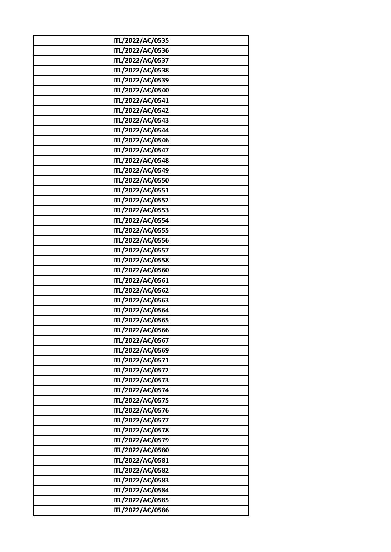| ITL/2022/AC/0535 |
|------------------|
| ITL/2022/AC/0536 |
| ITL/2022/AC/0537 |
| ITL/2022/AC/0538 |
| ITL/2022/AC/0539 |
| ITL/2022/AC/0540 |
| ITL/2022/AC/0541 |
| ITL/2022/AC/0542 |
| ITL/2022/AC/0543 |
| ITL/2022/AC/0544 |
| ITL/2022/AC/0546 |
| ITL/2022/AC/0547 |
| ITL/2022/AC/0548 |
| ITL/2022/AC/0549 |
| ITL/2022/AC/0550 |
| ITL/2022/AC/0551 |
| ITL/2022/AC/0552 |
| ITL/2022/AC/0553 |
| ITL/2022/AC/0554 |
| ITL/2022/AC/0555 |
| ITL/2022/AC/0556 |
| ITL/2022/AC/0557 |
| ITL/2022/AC/0558 |
| ITL/2022/AC/0560 |
| ITL/2022/AC/0561 |
| ITL/2022/AC/0562 |
| ITL/2022/AC/0563 |
| ITL/2022/AC/0564 |
| ITL/2022/AC/0565 |
| ITL/2022/AC/0566 |
| ITL/2022/AC/0567 |
| ITL/2022/AC/0569 |
| ITL/2022/AC/0571 |
| ITL/2022/AC/0572 |
| ITL/2022/AC/0573 |
| ITL/2022/AC/0574 |
| ITL/2022/AC/0575 |
| ITL/2022/AC/0576 |
| ITL/2022/AC/0577 |
| ITL/2022/AC/0578 |
| ITL/2022/AC/0579 |
| ITL/2022/AC/0580 |
| ITL/2022/AC/0581 |
| ITL/2022/AC/0582 |
| ITL/2022/AC/0583 |
| ITL/2022/AC/0584 |
| ITL/2022/AC/0585 |
| ITL/2022/AC/0586 |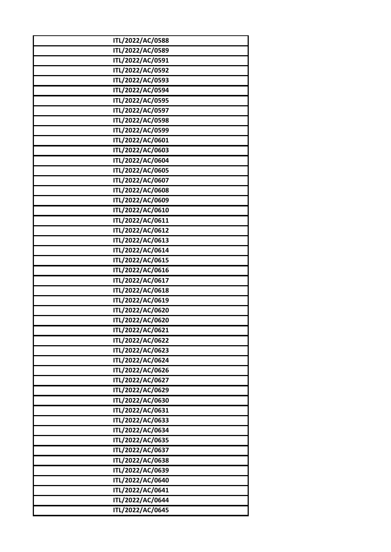| ITL/2022/AC/0588 |
|------------------|
| ITL/2022/AC/0589 |
| ITL/2022/AC/0591 |
| ITL/2022/AC/0592 |
| ITL/2022/AC/0593 |
| ITL/2022/AC/0594 |
| ITL/2022/AC/0595 |
| ITL/2022/AC/0597 |
| ITL/2022/AC/0598 |
| ITL/2022/AC/0599 |
| ITL/2022/AC/0601 |
| ITL/2022/AC/0603 |
| ITL/2022/AC/0604 |
| ITL/2022/AC/0605 |
| ITL/2022/AC/0607 |
| ITL/2022/AC/0608 |
| ITL/2022/AC/0609 |
| ITL/2022/AC/0610 |
| ITL/2022/AC/0611 |
| ITL/2022/AC/0612 |
| ITL/2022/AC/0613 |
| ITL/2022/AC/0614 |
| ITL/2022/AC/0615 |
| ITL/2022/AC/0616 |
| ITL/2022/AC/0617 |
| ITL/2022/AC/0618 |
| ITL/2022/AC/0619 |
| ITL/2022/AC/0620 |
| ITL/2022/AC/0620 |
| ITL/2022/AC/0621 |
| ITL/2022/AC/0622 |
| ITL/2022/AC/0623 |
| ITL/2022/AC/0624 |
| ITL/2022/AC/0626 |
| ITL/2022/AC/0627 |
| ITL/2022/AC/0629 |
| ITL/2022/AC/0630 |
| ITL/2022/AC/0631 |
| ITL/2022/AC/0633 |
| ITL/2022/AC/0634 |
| ITL/2022/AC/0635 |
| ITL/2022/AC/0637 |
| ITL/2022/AC/0638 |
| ITL/2022/AC/0639 |
| ITL/2022/AC/0640 |
| ITL/2022/AC/0641 |
| ITL/2022/AC/0644 |
| ITL/2022/AC/0645 |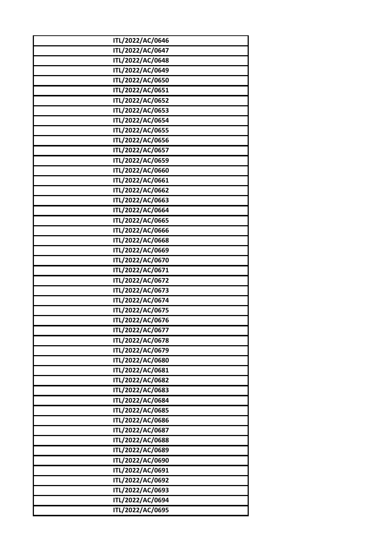| ITL/2022/AC/0646 |
|------------------|
| ITL/2022/AC/0647 |
| ITL/2022/AC/0648 |
| ITL/2022/AC/0649 |
| ITL/2022/AC/0650 |
| ITL/2022/AC/0651 |
| ITL/2022/AC/0652 |
| ITL/2022/AC/0653 |
| ITL/2022/AC/0654 |
| ITL/2022/AC/0655 |
| ITL/2022/AC/0656 |
| ITL/2022/AC/0657 |
| ITL/2022/AC/0659 |
| ITL/2022/AC/0660 |
| ITL/2022/AC/0661 |
| ITL/2022/AC/0662 |
| ITL/2022/AC/0663 |
| ITL/2022/AC/0664 |
| ITL/2022/AC/0665 |
| ITL/2022/AC/0666 |
| ITL/2022/AC/0668 |
| ITL/2022/AC/0669 |
| ITL/2022/AC/0670 |
| ITL/2022/AC/0671 |
| ITL/2022/AC/0672 |
| ITL/2022/AC/0673 |
| ITL/2022/AC/0674 |
| ITL/2022/AC/0675 |
| ITL/2022/AC/0676 |
| ITL/2022/AC/0677 |
| ITL/2022/AC/0678 |
| ITL/2022/AC/0679 |
| ITL/2022/AC/0680 |
| ITL/2022/AC/0681 |
| ITL/2022/AC/0682 |
| ITL/2022/AC/0683 |
| ITL/2022/AC/0684 |
| ITL/2022/AC/0685 |
| ITL/2022/AC/0686 |
| ITL/2022/AC/0687 |
| ITL/2022/AC/0688 |
| ITL/2022/AC/0689 |
| ITL/2022/AC/0690 |
| ITL/2022/AC/0691 |
| ITL/2022/AC/0692 |
| ITL/2022/AC/0693 |
| ITL/2022/AC/0694 |
| ITL/2022/AC/0695 |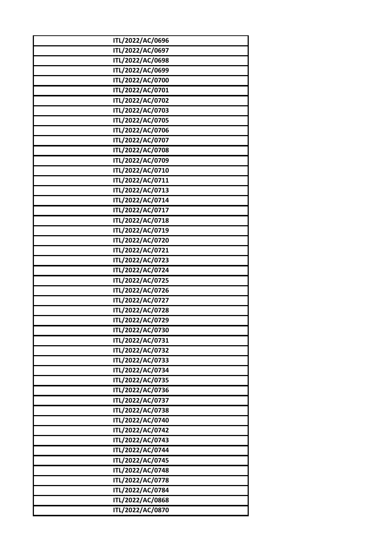| ITL/2022/AC/0696 |
|------------------|
| ITL/2022/AC/0697 |
| ITL/2022/AC/0698 |
| ITL/2022/AC/0699 |
| ITL/2022/AC/0700 |
| ITL/2022/AC/0701 |
| ITL/2022/AC/0702 |
| ITL/2022/AC/0703 |
| ITL/2022/AC/0705 |
| ITL/2022/AC/0706 |
| ITL/2022/AC/0707 |
| ITL/2022/AC/0708 |
| ITL/2022/AC/0709 |
| ITL/2022/AC/0710 |
| ITL/2022/AC/0711 |
| ITL/2022/AC/0713 |
| ITL/2022/AC/0714 |
| ITL/2022/AC/0717 |
| ITL/2022/AC/0718 |
| ITL/2022/AC/0719 |
| ITL/2022/AC/0720 |
| ITL/2022/AC/0721 |
| ITL/2022/AC/0723 |
| ITL/2022/AC/0724 |
| ITL/2022/AC/0725 |
| ITL/2022/AC/0726 |
| ITL/2022/AC/0727 |
| ITL/2022/AC/0728 |
| ITL/2022/AC/0729 |
| ITL/2022/AC/0730 |
| ITL/2022/AC/0731 |
| ITL/2022/AC/0732 |
| ITL/2022/AC/0733 |
| ITL/2022/AC/0734 |
| ITL/2022/AC/0735 |
| ITL/2022/AC/0736 |
| ITL/2022/AC/0737 |
| ITL/2022/AC/0738 |
| ITL/2022/AC/0740 |
| ITL/2022/AC/0742 |
| ITL/2022/AC/0743 |
| ITL/2022/AC/0744 |
| ITL/2022/AC/0745 |
| ITL/2022/AC/0748 |
| ITL/2022/AC/0778 |
| ITL/2022/AC/0784 |
| ITL/2022/AC/0868 |
| ITL/2022/AC/0870 |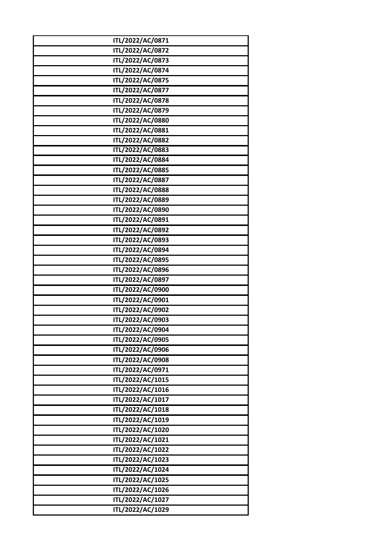| ITL/2022/AC/0872<br>ITL/2022/AC/0873<br>ITL/2022/AC/0874<br>ITL/2022/AC/0875<br>ITL/2022/AC/0877<br>ITL/2022/AC/0878<br>ITL/2022/AC/0879<br>ITL/2022/AC/0880 |  |
|--------------------------------------------------------------------------------------------------------------------------------------------------------------|--|
|                                                                                                                                                              |  |
|                                                                                                                                                              |  |
|                                                                                                                                                              |  |
|                                                                                                                                                              |  |
|                                                                                                                                                              |  |
|                                                                                                                                                              |  |
|                                                                                                                                                              |  |
|                                                                                                                                                              |  |
| ITL/2022/AC/0881                                                                                                                                             |  |
| ITL/2022/AC/0882                                                                                                                                             |  |
| ITL/2022/AC/0883                                                                                                                                             |  |
| ITL/2022/AC/0884                                                                                                                                             |  |
| ITL/2022/AC/0885                                                                                                                                             |  |
| ITL/2022/AC/0887                                                                                                                                             |  |
| ITL/2022/AC/0888                                                                                                                                             |  |
| ITL/2022/AC/0889                                                                                                                                             |  |
| ITL/2022/AC/0890                                                                                                                                             |  |
| ITL/2022/AC/0891                                                                                                                                             |  |
| ITL/2022/AC/0892                                                                                                                                             |  |
| ITL/2022/AC/0893                                                                                                                                             |  |
| ITL/2022/AC/0894                                                                                                                                             |  |
| ITL/2022/AC/0895                                                                                                                                             |  |
| ITL/2022/AC/0896                                                                                                                                             |  |
| ITL/2022/AC/0897                                                                                                                                             |  |
| ITL/2022/AC/0900                                                                                                                                             |  |
| ITL/2022/AC/0901                                                                                                                                             |  |
| ITL/2022/AC/0902                                                                                                                                             |  |
| ITL/2022/AC/0903                                                                                                                                             |  |
| ITL/2022/AC/0904                                                                                                                                             |  |
| ITL/2022/AC/0905                                                                                                                                             |  |
| ITL/2022/AC/0906                                                                                                                                             |  |
| ITL/2022/AC/0908                                                                                                                                             |  |
| ITL/2022/AC/0971                                                                                                                                             |  |
| ITL/2022/AC/1015                                                                                                                                             |  |
| ITL/2022/AC/1016                                                                                                                                             |  |
| ITL/2022/AC/1017                                                                                                                                             |  |
| ITL/2022/AC/1018                                                                                                                                             |  |
| ITL/2022/AC/1019                                                                                                                                             |  |
| ITL/2022/AC/1020                                                                                                                                             |  |
| ITL/2022/AC/1021                                                                                                                                             |  |
| ITL/2022/AC/1022                                                                                                                                             |  |
| ITL/2022/AC/1023                                                                                                                                             |  |
| ITL/2022/AC/1024                                                                                                                                             |  |
| ITL/2022/AC/1025                                                                                                                                             |  |
| ITL/2022/AC/1026                                                                                                                                             |  |
| ITL/2022/AC/1027                                                                                                                                             |  |
| ITL/2022/AC/1029                                                                                                                                             |  |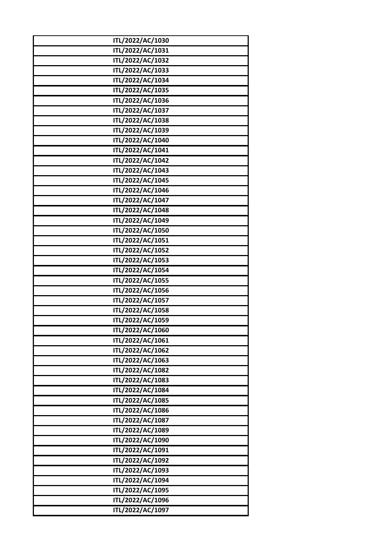| ITL/2022/AC/1030 |  |
|------------------|--|
| ITL/2022/AC/1031 |  |
| ITL/2022/AC/1032 |  |
| ITL/2022/AC/1033 |  |
| ITL/2022/AC/1034 |  |
| ITL/2022/AC/1035 |  |
| ITL/2022/AC/1036 |  |
| ITL/2022/AC/1037 |  |
| ITL/2022/AC/1038 |  |
| ITL/2022/AC/1039 |  |
| ITL/2022/AC/1040 |  |
| ITL/2022/AC/1041 |  |
| ITL/2022/AC/1042 |  |
| ITL/2022/AC/1043 |  |
| ITL/2022/AC/1045 |  |
| ITL/2022/AC/1046 |  |
| ITL/2022/AC/1047 |  |
| ITL/2022/AC/1048 |  |
| ITL/2022/AC/1049 |  |
| ITL/2022/AC/1050 |  |
| ITL/2022/AC/1051 |  |
| ITL/2022/AC/1052 |  |
| ITL/2022/AC/1053 |  |
| ITL/2022/AC/1054 |  |
| ITL/2022/AC/1055 |  |
| ITL/2022/AC/1056 |  |
| ITL/2022/AC/1057 |  |
| ITL/2022/AC/1058 |  |
| ITL/2022/AC/1059 |  |
| ITL/2022/AC/1060 |  |
| ITL/2022/AC/1061 |  |
| ITL/2022/AC/1062 |  |
| ITL/2022/AC/1063 |  |
| ITL/2022/AC/1082 |  |
| ITL/2022/AC/1083 |  |
| ITL/2022/AC/1084 |  |
| ITL/2022/AC/1085 |  |
| ITL/2022/AC/1086 |  |
| ITL/2022/AC/1087 |  |
| ITL/2022/AC/1089 |  |
| ITL/2022/AC/1090 |  |
| ITL/2022/AC/1091 |  |
| ITL/2022/AC/1092 |  |
| ITL/2022/AC/1093 |  |
| ITL/2022/AC/1094 |  |
| ITL/2022/AC/1095 |  |
| ITL/2022/AC/1096 |  |
| ITL/2022/AC/1097 |  |